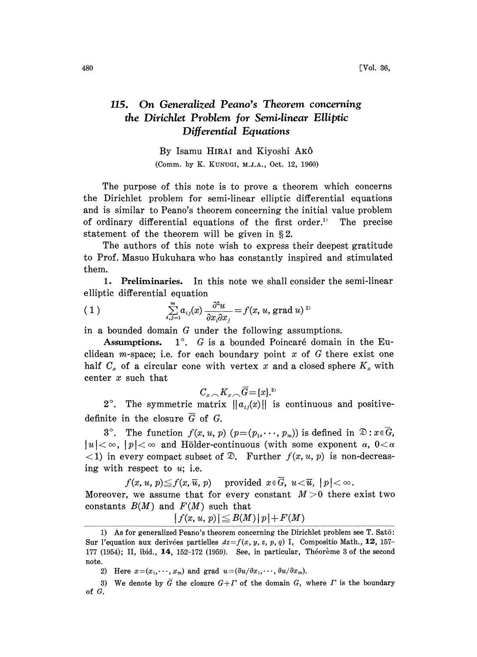## 115. On Generalized Peano's Theorem concerning the Dirichlet Problem Ior Semi.linear Elliptic Differential Equations

By Isamu HIRAI and Kiyoshi AK6 (Comm. by K. KUNUGI, M.J.A., Oct. 12, 1960)

The purpose of this note is to prove a theorem which concerns the Dirichlet problem for semi-linear elliptic differential equations and is similar to Peano's theorem concerning the initial value problem of ordinary differential equations of the first order." The precise statement of the theorem will be given in  $\S 2$ .

The authors of this note wish to express their deepest gratitude to Prof. Masuo Hukuhara who has constantly inspired and stimulated them.

1. Preliminaries. In this note we shall consider the semi-linear elliptic differential equation

(1) 
$$
\sum_{i,j=1}^{m} a_{ij}(x) \frac{\partial^2 u}{\partial x_i \partial x_j} = f(x, u, \text{grad } u)^{2}
$$

in a bounded domain G under the following assumptions.

Assumptions.  $1^\circ$ . G is a bounded Poincaré domain in the Euclidean *m*-space; i.e. for each boundary point  $x$  of  $G$  there exist one half  $C_x$  of a circular cone with vertex x and a closed sphere  $K_x$  with center x such that

$$
C_{x,\bigtriangleup}K_{x,\bigtriangleup}\overline{G}=[x].^{3)}
$$

2°. The symmetric matrix  $||a_{ij}(x)||$  is continuous and positivedefinite in the closure  $\overline{G}$  of G.

3°. The function  $f(x, u, p)$   $(p=(p_1, \dots, p_m))$  is defined in  $\mathfrak{D}: x \in G$ ,  $|u| < \infty$ ,  $|p| < \infty$  and Hölder-continuous (with some exponent  $\alpha$ ,  $0 < \alpha$  $\langle 1 \rangle$  in every compact subset of  $\mathcal{D}$ . Further  $f(x, u, p)$  is non-decreasing with respect to  $u$ ; i.e.

 $f(x, u, p) \leq f(x, \overline{u}, p)$  provided  $x \in \overline{G}$ ,  $u < \overline{u}$ ,  $|p| < \infty$ . Moreover, we assume that for every constant  $M>0$  there exist two constants  $B(M)$  and  $F(M)$  such that

$$
|f(x, u, p)| \leq B(M)|p| + F(M)
$$

<sup>1)</sup> As for generalized Peano's theorem concerning the Dirichlet problem see  $T$ . Sat $\bar{o}$ : Sur l'equation aux derivées partielles  $Az=f(x, y, z, p, q)$  I, Compositio Math., 12, 157-177 (1954); II, ibid., 14, 152-172 (1959). See, in particular, Théorème 3 of the second note.

<sup>2)</sup> Here  $x=(x_1,\dots, x_m)$  and grad  $u=(\partial u/\partial x_1,\dots, \partial u/\partial x_m)$ .

<sup>3)</sup> We denote by  $\overline{G}$  the closure  $G+T$  of the domain G, where  $\Gamma$  is the boundary of G.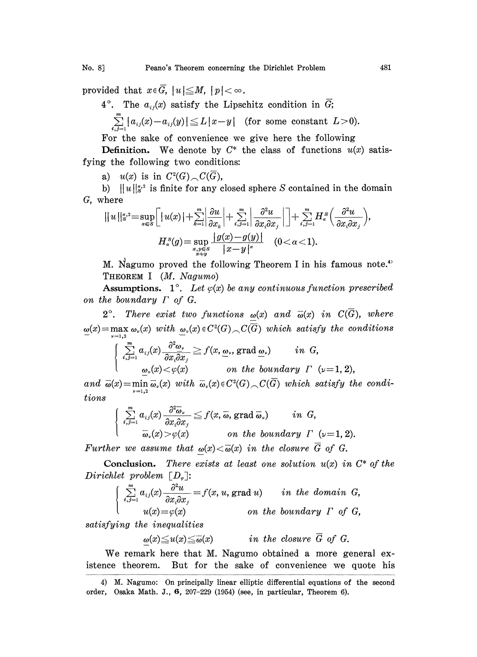provided that  $x \in G$ ,  $|u| \leq M$ ,  $|p| < \infty$ .

4°. The  $a_{ij}(x)$  satisfy the Lipschitz condition in G;

$$
\sum_{i,j=1}^m |a_{ij}(x)-a_{ij}(y)| \leq L |x-y| \quad \text{(for some constant } L > 0\text{)}.
$$

For the sake of convenience we give here the following

**Definition.** We denote by  $C^*$  the class of functions  $u(x)$  satisfying the following two conditions:

a)  $u(x)$  is in  $C^2(G) \cap C(G)$ ,

b)  $||u||_{S^2}^{2}$  is finite for any closed sphere S contained in the domain G, where

$$
||u||_{s'}^{a,2} = \sup_{x \in S} \Big[ |u(x)| + \sum_{k=1}^{m} \Big| \frac{\partial u}{\partial x_k} \Big| + \sum_{i,j=1}^{m} \Big| \frac{\partial^2 u}{\partial x_i \partial x_j} \Big| \Big] + \sum_{i,j=1}^{m} H_{\alpha}^S \Big( \frac{\partial^2 u}{\partial x_i \partial x_j} \Big),
$$

$$
H_{\alpha}^S(g) = \sup_{\substack{x,y \in S \\ x \neq y}} \frac{|g(x) - g(y)|}{|x - y|^{\alpha}} \quad (0 < \alpha < 1).
$$

M. Nagumo proved the following Theorem I in his famous note.<sup>4)</sup> THEOREM <sup>I</sup> (M. Nagumo)

Assumptions. 1°. Let  $\varphi(x)$  be any continuous function prescribed on the boundary  $\Gamma$  of  $G$ .

2°. There exist two functions  $\omega(x)$  and  $\overline{\omega}(x)$  in  $C(\overline{G})$ , where  $\underline{\omega}(x) = \max_{\nu=1,2} \omega_{\nu}(x)$  with  $\underline{\omega}_{\nu}(x) \in C^2(G) \setminus C(\overline{G})$  which satisfy the conditions

$$
\begin{cases}\n\sum_{i,j=1}^{m} a_{ij}(x) \frac{\partial^2 \omega_{\nu}}{\partial x_i \partial x_j} \geq f(x, \underline{\omega}_{\nu}, \text{grad } \underline{\omega}_{\nu}) & \text{in } G, \\
\underline{\omega}_{\nu}(x) < \varphi(x) & \text{on the boundary } \Gamma \quad (\nu=1, 2),\n\end{cases}
$$

and  $\overline{\omega}(x) = \min \overline{\omega}_r(x)$  with  $\overline{\omega}_r(x) \in C^2(G) \cap C(\overline{G})$  which satisfy the condi- $\nu = 1.2$ tions

$$
\sum_{\substack{i,j=1 \ \omega_i/\lambda \ j=1}}^m a_{ij}(x) \frac{\partial^2 \overline{\omega}_{\nu}}{\partial x_i \partial x_j} \leq f(x, \overline{\omega}, \text{grad } \overline{\omega}_{\nu}) \quad in \ G,
$$
  

$$
\overline{\omega}_{\nu}(x) > \varphi(x) \quad \text{on the boundary } \Gamma \ (\nu=1, 2).
$$

Further we assume that  $\omega(x) \le \overline{\omega}(x)$  in the closure  $\overline{G}$  of G.

Conclusion. There exists at least one solution  $u(x)$  in  $C^*$  of the Dirichlet problem  $[D_{\varphi}]:$ 

$$
\sum_{i,j=1}^{m} a_{ij}(x) \frac{\partial^2 u}{\partial x_i \partial x_j} = f(x, u, \text{grad } u) \quad in \ the \ domain \ G,
$$
  

$$
u(x) = \varphi(x) \quad on \ the \ boundary \ \Gamma \ \ of \ G,
$$

satisfying the inequalities

$$
\omega(x) \leqq u(x) \leqq \overline{\omega}(x) \qquad \text{in the closure } \overline{G} \text{ of } G.
$$

We remark here that M. Nagumo obtained <sup>a</sup> more general existence theorem. But for the sake of convenience we quote his

<sup>4)</sup> M. Nagumo: On principally linear elliptic differential equations of the second order, Osaka Math. J., 6, 207-229 (1954) (see, in particular, Theorem 6).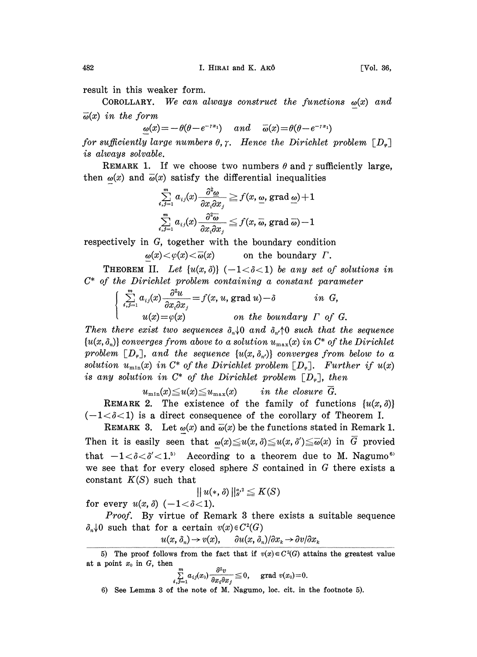COROLLARY. We can always construct the functions  $\omega(x)$  and  $\bar{\omega}(x)$  in the form

$$
\underline{\omega}(x) = -\theta(\theta - e^{-\tau x_1}) \quad and \quad \overline{\omega}(x) = \theta(\theta - e^{-\tau x_1})
$$

for sufficiently large numbers  $\theta$ ,  $\gamma$ . Hence the Dirichlet problem  $[D_{\varphi}]$ is always solvable.

REMARK 1. If we choose two numbers  $\theta$  and  $\gamma$  sufficiently large, then  $\omega(x)$  and  $\overline{\omega}(x)$  satisfy the differential inequalities

$$
\sum_{i,j=1}^m a_{ij}(x) \frac{\partial^2 \omega}{\partial x_i \partial x_j} \geqq f(x,\omega,\operatorname{grad}\omega) + 1
$$
\n
$$
\sum_{i,j=1}^m a_{ij}(x) \frac{\partial^2 \overline{\omega}}{\partial x_i \partial x_j} \leqq f(x,\overline{\omega},\operatorname{grad}\overline{\omega}) - 1
$$

respectively in G, together with the boundary condition

$$
\omega(x) < \varphi(x) < \overline{\omega}(x) \qquad \text{on the boundary } \Gamma.
$$

**THEOREM II.** Let  $\{u(x, \delta)\}\$  (-1< $\delta$ <1) be any set of solutions in

$$
C^*
$$
 of the Dirichlet problem containing a constant parameter  
\n
$$
\begin{cases}\n\sum_{i,j=1}^{m} a_{ij}(x) \frac{\partial^2 u}{\partial x_i \partial x_j} = f(x, u, \text{ grad } u) - \delta \quad in \ G, \\
u(x) = \varphi(x) \quad on \ the \ boundary \ \Gamma \ \ of \ G.\n\end{cases}
$$

Then there exist two sequences  $\delta_n \downarrow 0$  and  $\delta_{n'} \uparrow 0$  such that the sequence  ${u(x, \delta_n)}$  converges from above to a solution  $u_{\max}(x)$  in  $C^*$  of the Dirichlet problem  $[D_{\varphi}],$  and the sequence  $\{u(x, \delta_{x})\}$  converges from below to a solution  $u_{\min}(x)$  in  $C^*$  of the Dirichlet problem  $[D_{\varphi}]$ . Further if  $u(x)$ is any solution in  $C^*$  of the Dirichlet problem  $[D_*]$ , then

$$
u_{\min}(x) \leq u(x) \leq u_{\max}(x) \quad in the closure \overline{G}.
$$

REMARK 2. The existence of the family of functions  $\{u(x, \delta)\}\)$  $(-1<\delta<1)$  is a direct consequence of the corollary of Theorem I.

REMARK 3. Let  $\omega(x)$  and  $\overline{\omega}(x)$  be the functions stated in Remark 1. Then it is easily seen that  $\omega(x)\leq u(x,\delta)\leq u(x,\delta')\leq \overline{\omega}(x)$  in G provied that  $-1 < \delta < \delta' < 1$ .<sup>5</sup> According to a theorem due to M. Nagumo we see that for every closed sphere S contained in G there exists a constant  $K(S)$  such that

$$
||u(*,\delta)||_{S}^{*,2} \leq K(S)
$$

for every  $u(x, \delta)$   $(-1<\delta<1)$ .

beta  $u(x, \delta)$   $(-1<\delta<1)$ .<br>Proof. By virtue of Remark 3 there exists a suitable sequence  $\delta_n\downarrow 0$  such that for a certain  $v(x)\in C^2(G)$ 

$$
u(x, \delta_n) \to v(x), \qquad \partial u(x, \delta_n)/\partial x_k \to \partial v/\partial x_k
$$

$$
\sum_{i,j=1}^m a_{ij}(x_0) \frac{\partial^2 v}{\partial x_i \partial x_j} \leqq 0, \quad \text{grad } v(x_0) = 0.
$$

6) See Lemma 3 of the note of M. Nagumo, loc. cir. in the footnote 5).

<sup>5)</sup> The proof follows from the fact that if  $v(x) \in C^2(G)$  attains the greatest value at a point  $x_0$  in  $G$ , then  $\mathbf{A}^{\mathbf{a}}$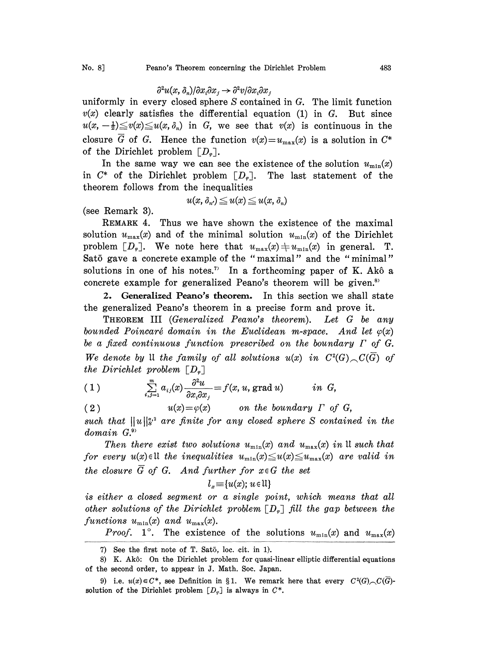## $\frac{\partial^2 u(x, \delta_n)}{\partial x_i \partial x_j}$   $\rightarrow \frac{\partial^2 v}{\partial x_i \partial x_j}$

uniformly in every closed sphere  $S$  contained in  $G$ . The limit function  $v(x)$  clearly satisfies the differential equation (1) in G. But since  $u(x,-\frac{1}{2})\leq v(x)\leq u(x,\delta_n)$  in G, we see that  $v(x)$  is continuous in the closure  $\overline{G}$  of G. Hence the function  $v(x)=u_{\text{max}}(x)$  is a solution in  $C^*$ of the Dirichlet problem  $[D_{\varphi}].$ 

In the same way we can see the existence of the solution  $u_{\min}(x)$ in  $C^*$  of the Dirichlet problem  $[D_{\varphi}].$  The last statement of the theorem follows from the inequalities

$$
u(x, \delta_{n'}) \leqq u(x) \leqq u(x, \delta_n)
$$

(see Remark 3).

REMARK 4. Thus we have shown the existence of the maximal solution  $u_{\text{max}}(x)$  and of the minimal solution  $u_{\text{min}}(x)$  of the Dirichlet problem  $[D_{\varphi}]$ . We note here that  $u_{\max}(x) \neq u_{\min}(x)$  in general. T. Satō gave a concrete example of the "maximal" and the "minimal" solutions in one of his notes.<sup>7</sup> In a forthcoming paper of K. Akô a concrete example for generalized Peano's theorem will be given. $s$ 

2. Generalized Peano's theorem. In this section we shall state the generalized Peano's theorem in a precise form and prove it.

THEOREM III (Generalized Peano's theorem). Let G be any bounded Poincaré domain in the Euclidean m-space. And let  $\varphi(x)$ be <sup>a</sup> fixed continuous function prescribed on the boundary F of G. We denote by  $\mathfrak U$  the family of all solutions  $u(x)$  in  $C^2(G)$ ,  $C(\overline{G})$  of the Dirichlet problem  $\lceil D_{\varphi} \rceil$ 

(1) 
$$
\sum_{i,j=1}^m a_{ij}(x) \frac{\partial^2 u}{\partial x_i \partial x_j} = f(x, u, \text{grad } u) \quad in \ G,
$$

(2)  $u(x) = \varphi(x)$  on the boundary  $\Gamma$  of G, such that  $||u||_{s^2}^{s^2}$  are finite for any closed sphere S contained in the domain G.<sup>9</sup>

Then there exist two solutions  $u_{\min}(x)$  and  $u_{\max}(x)$  in II such that for every  $u(x) \in \mathbb{U}$  the inequalities  $u_{\min}(x) \leq u(x) \leq u_{\max}(x)$  are valid in the closure  $\overline{G}$  of G. And further for  $x \in G$  the set

$$
l_x \equiv \{u(x); \, u \in \mathfrak{U}\}
$$

is either a closed segment or a single point, which means that all other solutions of the Dirichlet problem  $[D_{\varphi}]$  fill the gap between the functions  $u_{\min}(x)$  and  $u_{\max}(x)$ .

*Proof.* 1°. The existence of the solutions  $u_{\min}(x)$  and  $u_{\max}(x)$ 

<sup>7)</sup> See the first note of T. Satō, loc. cit. in 1).

<sup>8)</sup> K. Akb: On the Dirichlet problem for quasi-linear elliptic differential equations of the second order, to appear in J. Math. Soc. Japan.

<sup>9)</sup> i.e.  $u(x) \in C^*$ , see Definition in §1. We remark here that every  $C^2(G)$ ,  $C(\overline{G})$ solution of the Dirichlet problem  $[D_{\varphi}]$  is always in  $C^*$ .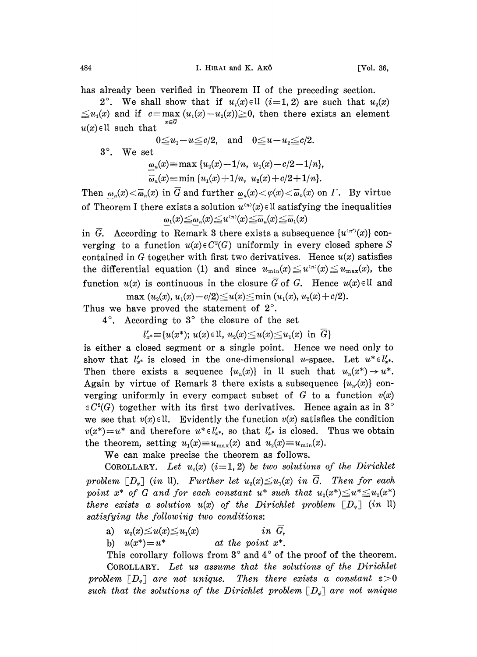has already been verified in Theorem II of the preceding section.

2°. We shall show that if  $u_i(x) \in U$  (i=1, 2) are such that  $u_2(x)$  $\leq u_1(x)$  and if  $c = \max_{x \in \overline{G}} (u_1(x)-u_2(x)) \geq 0$ , then there exists an element  $u(x) \in \mathbb{U}$  such that

$$
0 \le u_1 - u \le c/2, \text{ and } 0 \le u - u_2 \le c/2.
$$
  
3°. We set  

$$
\omega_n(x) = \max \{u_2(x) - 1/n, u_1(x) - c/2 - 1/n\},
$$

$$
\overline{\omega}_n(x) = \min \{u_1(x) + 1/n, u_2(x) + c/2 + 1/n\}.
$$

Then  $\omega_n(x) < \overline{\omega}_n(x)$  in G and further  $\omega_n(x) < \varphi(x) < \overline{\omega}_n(x)$  on  $\Gamma$ . By virtue of Theorem I there exists a solution  $u^{(n)}(x) \in \mathbb{U}$  satisfying the inequalities  $\omega_1(x) \leq \omega_n(x) \leq u^{(n)}(x) \leq \overline{\omega}_n(x) \leq \overline{\omega}_1(x)$ 

in  $\overline{G}$ . According to Remark 3 there exists a subsequence  $\{u^{(n')}(x)\}\$ converging to a function  $u(x) \in C^2(G)$  uniformly in every closed sphere S contained in G together with first two derivatives. Hence  $u(x)$  satisfies the differential equation (1) and since  $u_{\min}(x) \leq u^{(n)}(x) \leq u_{\max}(x)$ , the function  $u(x)$  is continuous in the closure  $\overline{G}$  of G. Hence  $u(x) \in \mathbb{U}$  and

max  $(u_2(x), u_1(x)-c/2) \le u(x) \le \min (u_1(x), u_2(x)+c/2).$ 

Thus we have proved the statement of  $2^\circ$ .

 $4^\circ$ . According to  $3^\circ$  the closure of the set

 $l'_{x^*} \equiv \{u(x^*); u(x) \in \mathbb{U}, u_2(x) \leq u(x) \leq u_1(x) \text{ in } G\}$ 

is either a closed segment or a single point. Hence we need only to show that  $l'_{x^*}$  is closed in the one-dimensional u-space. Let  $u^* \in l'_{x^*}$ . Then there exists a sequence  $\{u_n(x)\}\$ in It such that  $u_n(x^*)\to u^*$ . Again by virtue of Remark 3 there exists a subsequence  $\{u_{n}(x)\}\$  converging uniformly in every compact subset of G to a function  $v(x)$  $\in C<sup>2</sup>(G)$  together with its first two derivatives. Hence again as in 3° we see that  $v(x) \in \mathcal{U}$ . Evidently the function  $v(x)$  satisfies the condition  $v(x^*)=u^*$  and therefore  $u^*\in l'_{x^*}$ , so that  $l'_{x^*}$  is closed. Thus we obtain the theorem, setting  $u_1(x) \equiv u_{\text{max}}(x)$  and  $u_2(x) \equiv u_{\text{min}}(x)$ .

We can make precise the theorem as follows.

COROLLARY. Let  $u_i(x)$  (i=1, 2) be two solutions of the Dirichlet problem  $[D_{\varphi}]$  (in 11). Further let  $u_2(x) \leq u_1(x)$  in  $\overline{G}$ . Then for each point  $x^*$  of G and for each constant  $u^*$  such that  $u_2(x^*) \le u^* \le u_1(x^*)$ there exists a solution  $u(x)$  of the Dirichlet problem  $[D_{\varphi}]$  (in  $\mathfrak{U}$ ) satisfying the following two conditions:

a)  $u_2(x) \le u(x) \le u_1(x)$  in  $\overline{G}$ ,

b)  $u(x^*)=u^*$  at the point  $x^*$ .

This corollary follows from  $3^\circ$  and  $4^\circ$  of the proof of the theorem.

COROLLARY. Let us assume that the solutions of the Dirichlet problem  $[D_{\varphi}]$  are not unique. Then there exists a constant  $\varepsilon > 0$ such that the solutions of the Dirichlet problem  $[D_{\phi}]$  are not unique